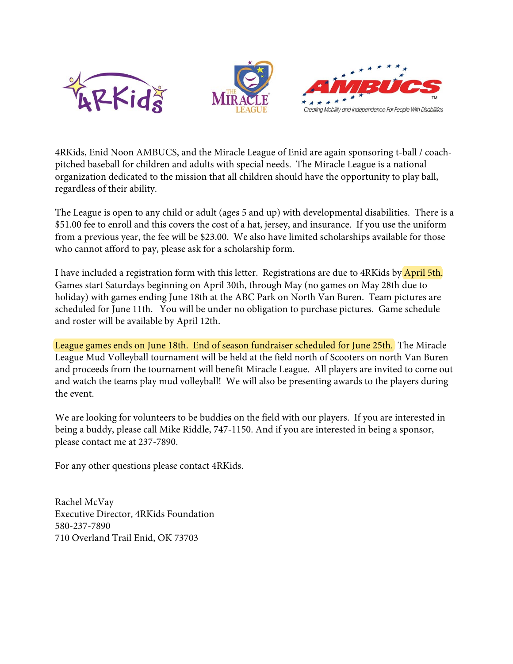





4RKids, Enid Noon AMBUCS, and the Miracle League of Enid are again sponsoring t-ball / coachpitched baseball for children and adults with special needs. The Miracle League is a national organization dedicated to the mission that all children should have the opportunity to play ball, regardless of their ability.

The League is open to any child or adult (ages 5 and up) with developmental disabilities. There is a \$51.00 fee to enroll and this covers the cost of a hat, jersey, and insurance. If you use the uniform from a previous year, the fee will be \$23.00. We also have limited scholarships available for those who cannot afford to pay, please ask for a scholarship form.

I have included a registration form with this letter. Registrations are due to 4RKids by April 5th. Games start Saturdays beginning on April 30th, through May (no games on May 28th due to holiday) with games ending June 18th at the ABC Park on North Van Buren. Team pictures are scheduled for June 11th. You will be under no obligation to purchase pictures. Game schedule and roster will be available by April 12th.

League games ends on June 18th. End of season fundraiser scheduled for June 25th. The Miracle League Mud Volleyball tournament will be held at the field north of Scooters on north Van Buren and proceeds from the tournament will benefit Miracle League. All players are invited to come out and watch the teams play mud volleyball! We will also be presenting awards to the players during the event.

We are looking for volunteers to be buddies on the field with our players. If you are interested in being a buddy, please call Mike Riddle, 747-1150. And if you are interested in being a sponsor, please contact me at 237-7890.

For any other questions please contact 4RKids.

Rachel McVay Executive Director, 4RKids Foundation 580-237-7890 710 Overland Trail Enid, OK 73703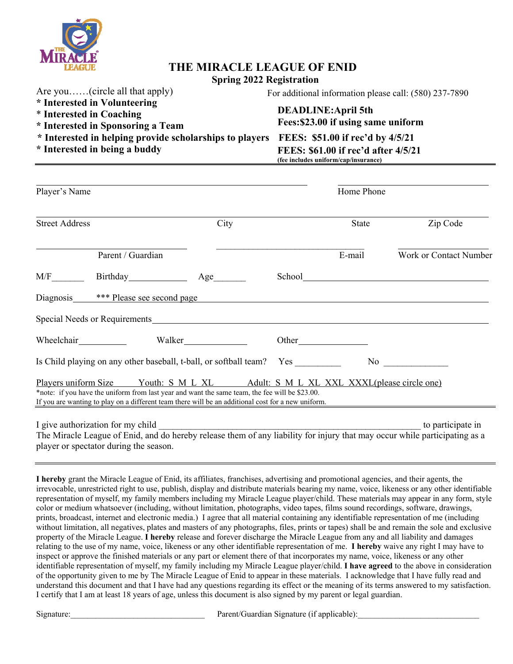

## **THE MIRACLE LEAGUE OF ENID**

#### **Spring 2022 Registration**

Are you……(circle all that apply)

#### **\* Interested in Volunteering**

- \* **Interested in Coaching**
- **\* Interested in Sponsoring a Team**

**\* Interested in helping provide scholarships to players FEES: \$51.00 if rec'd by 4/5/21**

#### For additional information please call: (580) 237-7890

### **DEADLINE:April 5th Fees: \$23.00 if using same uniform**

## **\* Interested in being a buddy FEES: \$61.00 if rec'd after 4/5/21 (fee includes uniform/cap/insurance)**

| Player's Name         |                                                                                                                                                                                                                                                                                          |      |  | Home Phone |                                                                                                                                                                                                                               |
|-----------------------|------------------------------------------------------------------------------------------------------------------------------------------------------------------------------------------------------------------------------------------------------------------------------------------|------|--|------------|-------------------------------------------------------------------------------------------------------------------------------------------------------------------------------------------------------------------------------|
| <b>Street Address</b> |                                                                                                                                                                                                                                                                                          | City |  | State      | Zip Code                                                                                                                                                                                                                      |
|                       | Parent / Guardian                                                                                                                                                                                                                                                                        |      |  | E-mail     | Work or Contact Number                                                                                                                                                                                                        |
|                       | M/F Birthday Minus                                                                                                                                                                                                                                                                       |      |  |            |                                                                                                                                                                                                                               |
|                       | Diagnosis <b>***</b> Please see second page <b>that is a contract to the example of the set of the second page <b>that is a contract to the set of the set of the set of the set of the set of the set of the set of the set of the set</b></b>                                          |      |  |            |                                                                                                                                                                                                                               |
|                       | Special Needs or Requirements <b>Exercise 2.2</b> Network and the set of the set of the set of the set of the set of the set of the set of the set of the set of the set of the set of the set of the set of the set of the set of                                                       |      |  |            |                                                                                                                                                                                                                               |
|                       |                                                                                                                                                                                                                                                                                          |      |  |            |                                                                                                                                                                                                                               |
|                       | Is Child playing on any other baseball, t-ball, or softball team? Yes                                                                                                                                                                                                                    |      |  |            | No new contract the set of the set of the set of the set of the set of the set of the set of the set of the set of the set of the set of the set of the set of the set of the set of the set of the set of the set of the set |
|                       | Players uniform Size Youth: S M L XL Adult: S M L XL XXL XXXL please circle one)<br>*note: if you have the uniform from last year and want the same team, the fee will be \$23.00.<br>If you are wanting to play on a different team there will be an additional cost for a new uniform. |      |  |            |                                                                                                                                                                                                                               |
|                       |                                                                                                                                                                                                                                                                                          |      |  |            | to participate in                                                                                                                                                                                                             |

The Miracle League of Enid, and do hereby release them of any liability for injury that may occur while participating as a player or spectator during the season.

**I hereby** grant the Miracle League of Enid, its affiliates, franchises, advertising and promotional agencies, and their agents, the irrevocable, unrestricted right to use, publish, display and distribute materials bearing my name, voice, likeness or any other identifiable representation of myself, my family members including my Miracle League player/child. These materials may appear in any form, style color or medium whatsoever (including, without limitation, photographs, video tapes, films sound recordings, software, drawings, prints, broadcast, internet and electronic media.) I agree that all material containing any identifiable representation of me (including without limitation, all negatives, plates and masters of any photographs, files, prints or tapes) shall be and remain the sole and exclusive property of the Miracle League. **I hereby** release and forever discharge the Miracle League from any and all liability and damages relating to the use of my name, voice, likeness or any other identifiable representation of me. **I hereby** waive any right I may have to inspect or approve the finished materials or any part or element there of that incorporates my name, voice, likeness or any other identifiable representation of myself, my family including my Miracle League player/child. **I have agreed** to the above in consideration of the opportunity given to me by The Miracle League of Enid to appear in these materials. I acknowledge that I have fully read and understand this document and that I have had any questions regarding its effect or the meaning of its terms answered to my satisfaction. I certify that I am at least 18 years of age, unless this document is also signed by my parent or legal guardian.

Signature: The Superintensity of the Superintensity of the Parent/Guardian Signature (if applicable):